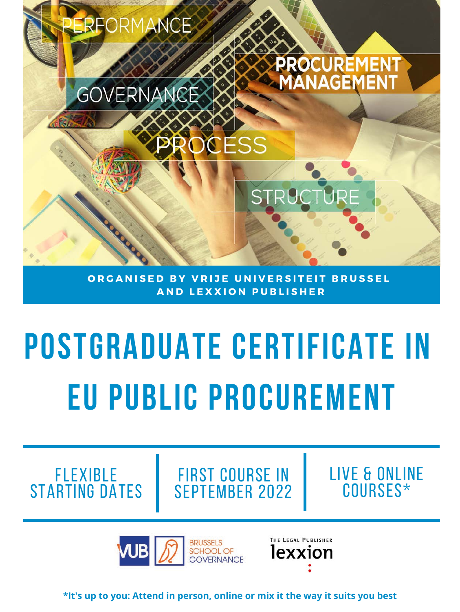

**ORGANISED BY VRIJE UNIVERSITEIT BRUSSEL A N D L E X X I O N P U B L I S H E R**

# **Postgraduate certificate in EU public procurement**

flexible starting dates

first course in September 2022 Live & online courses\*

**BRUSSELS AJB SCHOOL OF GOVERNANCE**  THE LEGAL PUBLISHER lexxion

**\*It's up to you: Attend in person, online or mix it the way it suits you best**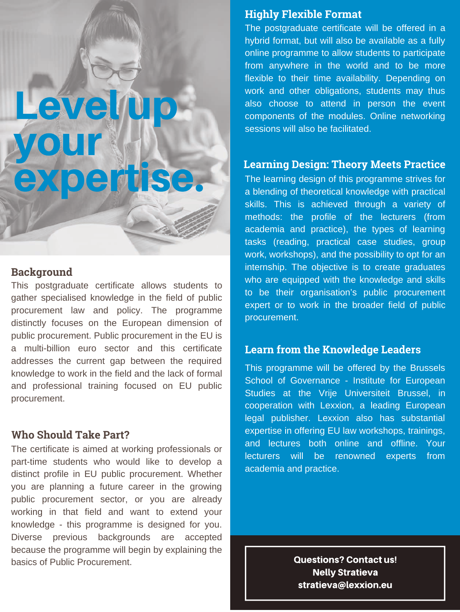# Leveljup your HI<br>expertise.

#### **Background**

This postgraduate certificate allows students to gather specialised knowledge in the field of public procurement law and policy. The programme distinctly focuses on the European dimension of public procurement. Public procurement in the EU is a multi-billion euro sector and this certificate addresses the current gap between the required knowledge to work in the field and the lack of formal and professional training focused on EU public procurement.

#### **Who Should Take Part?**

The certificate is aimed at working professionals or part-time students who would like to develop a distinct profile in EU public procurement. Whether you are planning a future career in the growing public procurement sector, or you are already working in that field and want to extend your knowledge - this programme is designed for you. Diverse previous backgrounds are accepted because the programme will begin by explaining the basics of Public Procurement.

#### **Highly Flexible Format**

The postgraduate certificate will be offered in a hybrid format, but will also be available as a fully online programme to allow students to participate from anywhere in the world and to be more flexible to their time availability. Depending on work and other obligations, students may thus also choose to attend in person the event components of the modules. Online networking sessions will also be facilitated.

#### **Learning Design: Theory Meets Practice**

The learning design of this programme strives for a blending of theoretical knowledge with practical skills. This is achieved through a variety of methods: the profile of the lecturers (from academia and practice), the types of learning tasks (reading, practical case studies, group work, workshops), and the possibility to opt for an internship. The objective is to create graduates who are equipped with the knowledge and skills to be their organisation's public procurement expert or to work in the broader field of public procurement.

#### **Learn from the Knowledge Leaders**

This programme will be offered by the Brussels School of Governance - Institute for European Studies at the Vrije Universiteit Brussel, in cooperation with Lexxion, a leading European legal publisher. Lexxion also has substantial expertise in offering EU law workshops, trainings, and lectures both online and offline. Your lecturers will be renowned experts from academia and practice.

> **Questions? Contact us! Nelly Stratieva** stratieva@lexxion.eu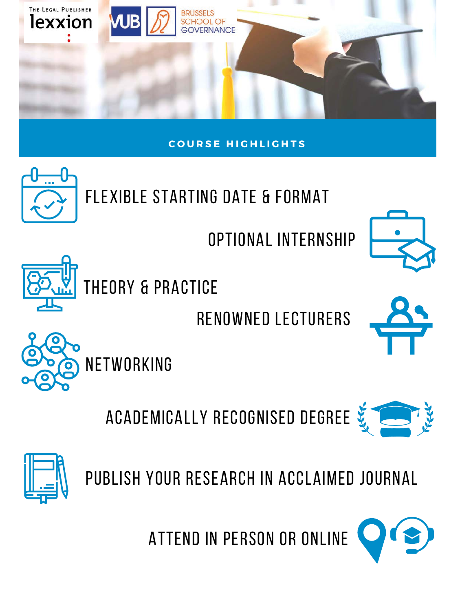



Optional internship





Theory & practice

Renowned lecturers



Academically recognised degree





Publish your research in acclaimed journal

Attend in person or online

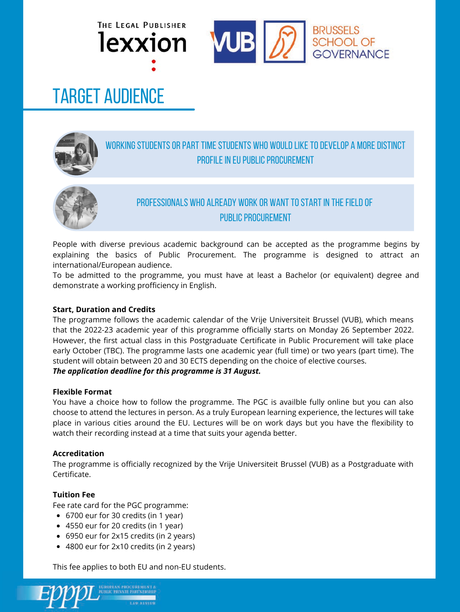



## Target Audience



#### WORKING STUDENTS OR PART TIME STUDENTS WHO WOULD LIKE TO DEVELOP A MORE DISTINCT PROFILE IN EU PUBLIC PROCUREMENT



#### professionals who already work or want to start in the field of public procurement

People with diverse previous academic background can be accepted as the programme begins by explaining the basics of Public Procurement. The programme is designed to attract an international/European audience.

To be admitted to the programme, you must have at least a Bachelor (or equivalent) degree and demonstrate a working profficiency in English.

#### **Start, Duration and Credits**

The programme follows the academic calendar of the Vrije Universiteit Brussel (VUB), which means that the 2022-23 academic year of this programme officially starts on Monday 26 September 2022. However, the first actual class in this Postgraduate Certificate in Public Procurement will take place early October (TBC). The programme lasts one academic year (full time) or two years (part time). The student will obtain between 20 and 30 ECTS depending on the choice of elective courses. *The application deadline for this programme is 31 August.*

#### **Flexible Format**

You have a choice how to follow the programme. The PGC is availble fully online but you can also choose to attend the lectures in person. As a truly European learning experience, the lectures will take place in various cities around the EU. Lectures will be on work days but you have the flexibility to watch their recording instead at a time that suits your agenda better.

#### **Accreditation**

The programme is officially recognized by the Vrije Universiteit Brussel (VUB) as a Postgraduate with Certificate.

#### **Tuition Fee**

Fee rate card for the PGC programme:

- 6700 eur for 30 credits (in 1 year)
- 4550 eur for 20 credits (in 1 year)
- 6950 eur for 2x15 credits (in 2 years)
- 4800 eur for 2x10 credits (in 2 years)

This fee applies to both EU and non-EU students.

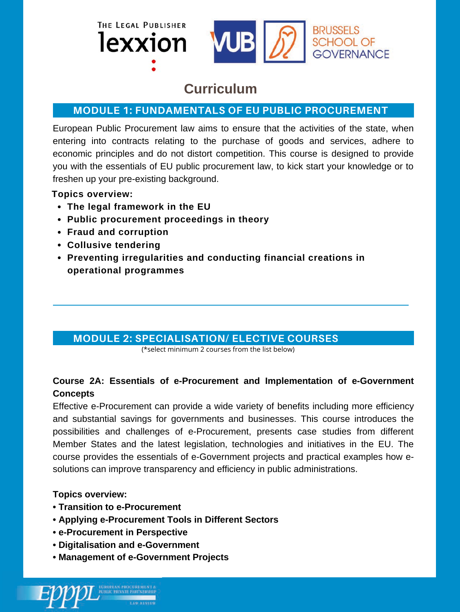



#### **Curriculum**

#### **MODULE 1: FUNDAMENTALS OF EU PUBLIC PROCUREMENT**

European Public Procurement law aims to ensure that the activities of the state, when entering into contracts relating to the purchase of goods and services, adhere to economic principles and do not distort competition. This course is designed to provide you with the essentials of EU public procurement law, to kick start your knowledge or to freshen up your pre-existing background.

#### **Topics overview:**

- **The legal framework in the EU**
- **Public procurement proceedings in theory**
- **Fraud and corruption**
- **Collusive tendering**
- **Preventing irregularities and conducting financial creations in operational programmes**

#### **MODULE 2: SPECIALISATION/ ELECTIVE COURSES**

(\*select minimum 2 courses from the list below)

#### **Course 2A: Essentials of e-Procurement and Implementation of e-Government Concepts**

Effective e-Procurement can provide a wide variety of benefits including more efficiency and substantial savings for governments and businesses. This course introduces the possibilities and challenges of e-Procurement, presents case studies from different Member States and the latest legislation, technologies and initiatives in the EU. The course provides the essentials of e-Government projects and practical examples how esolutions can improve transparency and efficiency in public administrations.

#### **Topics overview:**

- **Transition to e-Procurement**
- **Applying e-Procurement Tools in Different Sectors**
- **e-Procurement in Perspective**
- **Digitalisation and e-Government**
- **Management of e-Government Projects**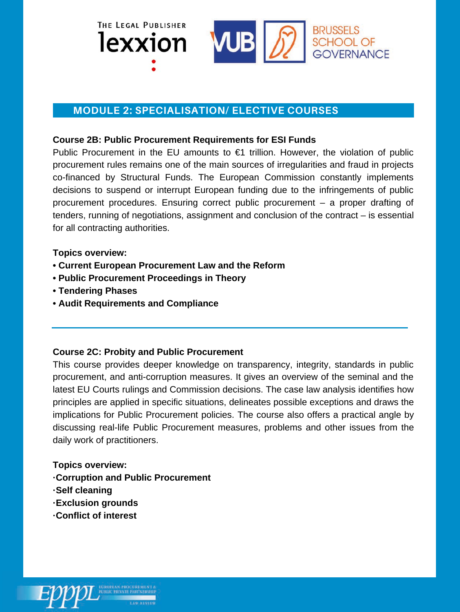



#### **MODULE 2: SPECIALISATION/ ELECTIVE COURSES**

#### **Course 2B: Public Procurement Requirements for ESI Funds**

Public Procurement in the EU amounts to  $E1$  trillion. However, the violation of public procurement rules remains one of the main sources of irregularities and fraud in projects co-financed by Structural Funds. The European Commission constantly implements decisions to suspend or interrupt European funding due to the infringements of public procurement procedures. Ensuring correct public procurement – a proper drafting of tenders, running of negotiations, assignment and conclusion of the contract – is essential for all contracting authorities.

**Topics overview:**

- **Current European Procurement Law and the Reform**
- **Public Procurement Proceedings in Theory**
- **Tendering Phases**
- **Audit Requirements and Compliance**

#### **Course 2C: Probity and Public Procurement**

This course provides deeper knowledge on transparency, integrity, standards in public procurement, and anti-corruption measures. It gives an overview of the seminal and the latest EU Courts rulings and Commission decisions. The case law analysis identifies how principles are applied in specific situations, delineates possible exceptions and draws the implications for Public Procurement policies. The course also offers a practical angle by discussing real-life Public Procurement measures, problems and other issues from the daily work of practitioners.

#### **Topics overview:**

- **·Corruption and Public Procurement**
- **·Self cleaning**
- **·Exclusion grounds**
- **·Conflict of interest**

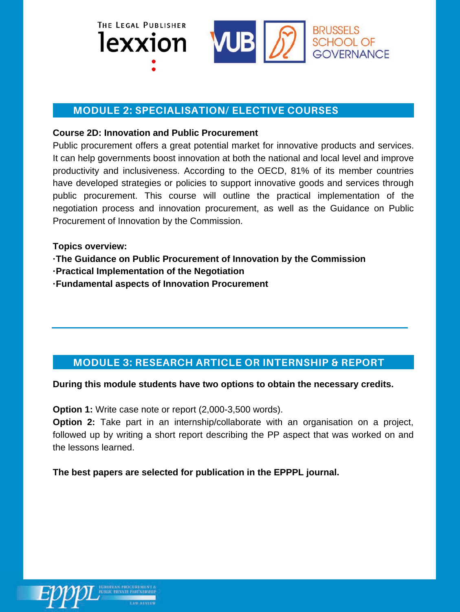



#### **MODULE 2: SPECIALISATION/ ELECTIVE COURSES**

#### **Course 2D: Innovation and Public Procurement**

Public procurement offers a great potential market for innovative products and services. It can help governments boost innovation at both the national and local level and improve productivity and inclusiveness. According to the OECD, 81% of its member countries have developed strategies or policies to support innovative goods and services through public procurement. This course will outline the practical implementation of the negotiation process and innovation procurement, as well as the Guidance on Public Procurement of Innovation by the Commission.

**Topics overview:**

**·The Guidance on Public Procurement of Innovation by the Commission**

**·Practical Implementation of the Negotiation**

**·Fundamental aspects of Innovation Procurement**

#### **MODULE 3: RESEARCH ARTICLE OR INTERNSHIP & REPORT**

**During this module students have two options to obtain the necessary credits.**

**Option 1:** Write case note or report (2,000-3,500 words).

**Option 2:** Take part in an internship/collaborate with an organisation on a project, followed up by writing a short report describing the PP aspect that was worked on and the lessons learned.

**The best papers are selected for publication in the EPPPL journal.**